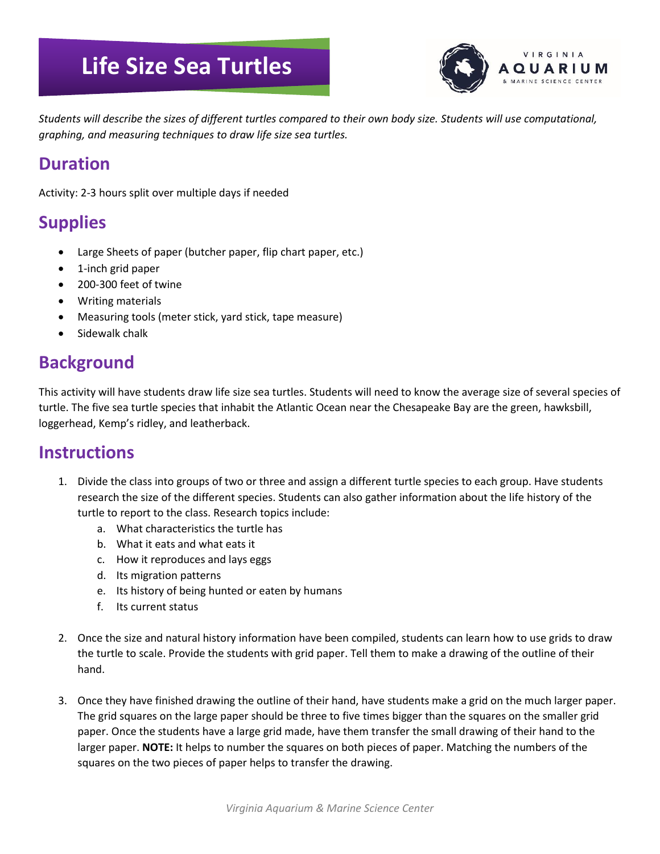# **Life Size Sea Turtles**



*Students will describe the sizes of different turtles compared to their own body size. Students will use computational, graphing, and measuring techniques to draw life size sea turtles.*

#### **Duration**

Activity: 2-3 hours split over multiple days if needed

## **Supplies**

- Large Sheets of paper (butcher paper, flip chart paper, etc.)
- 1-inch grid paper
- 200-300 feet of twine
- Writing materials
- Measuring tools (meter stick, yard stick, tape measure)
- Sidewalk chalk

### **Background**

This activity will have students draw life size sea turtles. Students will need to know the average size of several species of turtle. The five sea turtle species that inhabit the Atlantic Ocean near the Chesapeake Bay are the green, hawksbill, loggerhead, Kemp's ridley, and leatherback.

#### **Instructions**

- 1. Divide the class into groups of two or three and assign a different turtle species to each group. Have students research the size of the different species. Students can also gather information about the life history of the turtle to report to the class. Research topics include:
	- a. What characteristics the turtle has
	- b. What it eats and what eats it
	- c. How it reproduces and lays eggs
	- d. Its migration patterns
	- e. Its history of being hunted or eaten by humans
	- f. Its current status
- 2. Once the size and natural history information have been compiled, students can learn how to use grids to draw the turtle to scale. Provide the students with grid paper. Tell them to make a drawing of the outline of their hand.
- 3. Once they have finished drawing the outline of their hand, have students make a grid on the much larger paper. The grid squares on the large paper should be three to five times bigger than the squares on the smaller grid paper. Once the students have a large grid made, have them transfer the small drawing of their hand to the larger paper. **NOTE:** It helps to number the squares on both pieces of paper. Matching the numbers of the squares on the two pieces of paper helps to transfer the drawing.